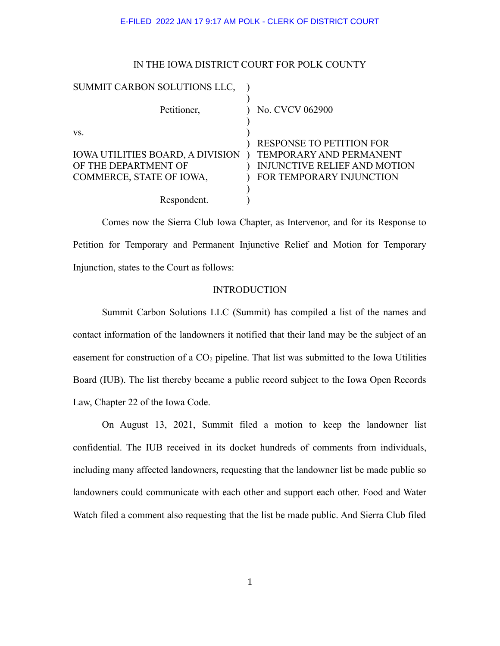# IN THE IOWA DISTRICT COURT FOR POLK COUNTY

| SUMMIT CARBON SOLUTIONS LLC,            |                                 |
|-----------------------------------------|---------------------------------|
| Petitioner,                             | No. CVCV 062900                 |
| VS.                                     | <b>RESPONSE TO PETITION FOR</b> |
| <b>IOWA UTILITIES BOARD, A DIVISION</b> | TEMPORARY AND PERMANENT         |
| OF THE DEPARTMENT OF                    | INJUNCTIVE RELIEF AND MOTION    |
| COMMERCE, STATE OF IOWA,                | FOR TEMPORARY INJUNCTION        |
|                                         |                                 |
| Respondent.                             |                                 |

Comes now the Sierra Club Iowa Chapter, as Intervenor, and for its Response to Petition for Temporary and Permanent Injunctive Relief and Motion for Temporary Injunction, states to the Court as follows:

# **INTRODUCTION**

Summit Carbon Solutions LLC (Summit) has compiled a list of the names and contact information of the landowners it notified that their land may be the subject of an easement for construction of a  $CO<sub>2</sub>$  pipeline. That list was submitted to the Iowa Utilities Board (IUB). The list thereby became a public record subject to the Iowa Open Records Law, Chapter 22 of the Iowa Code.

On August 13, 2021, Summit filed a motion to keep the landowner list confidential. The IUB received in its docket hundreds of comments from individuals, including many affected landowners, requesting that the landowner list be made public so landowners could communicate with each other and support each other. Food and Water Watch filed a comment also requesting that the list be made public. And Sierra Club filed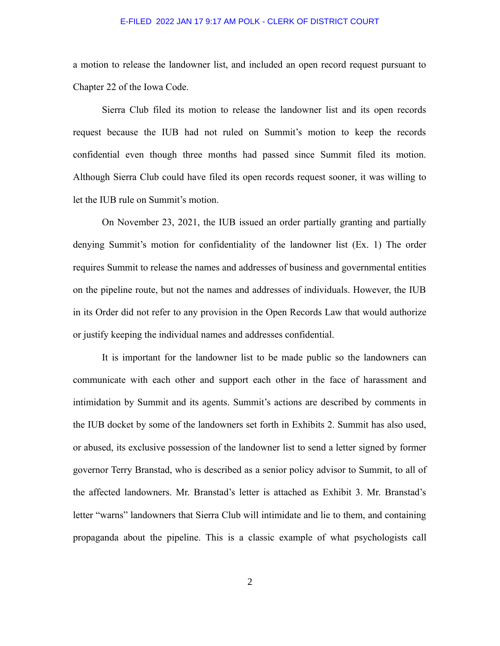a motion to release the landowner list, and included an open record request pursuant to Chapter 22 of the Iowa Code.

Sierra Club filed its motion to release the landowner list and its open records request because the IUB had not ruled on Summit's motion to keep the records confidential even though three months had passed since Summit filed its motion. Although Sierra Club could have filed its open records request sooner, it was willing to let the IUB rule on Summit's motion.

On November 23, 2021, the IUB issued an order partially granting and partially denying Summit's motion for confidentiality of the landowner list (Ex. 1) The order requires Summit to release the names and addresses of business and governmental entities on the pipeline route, but not the names and addresses of individuals. However, the IUB in its Order did not refer to any provision in the Open Records Law that would authorize or justify keeping the individual names and addresses confidential.

It is important for the landowner list to be made public so the landowners can communicate with each other and support each other in the face of harassment and intimidation by Summit and its agents. Summit's actions are described by comments in the IUB docket by some of the landowners set forth in Exhibits 2. Summit has also used, or abused, its exclusive possession of the landowner list to send a letter signed by former governor Terry Branstad, who is described as a senior policy advisor to Summit, to all of the affected landowners. Mr. Branstad's letter is attached as Exhibit 3. Mr. Branstad's letter "warns" landowners that Sierra Club will intimidate and lie to them, and containing propaganda about the pipeline. This is a classic example of what psychologists call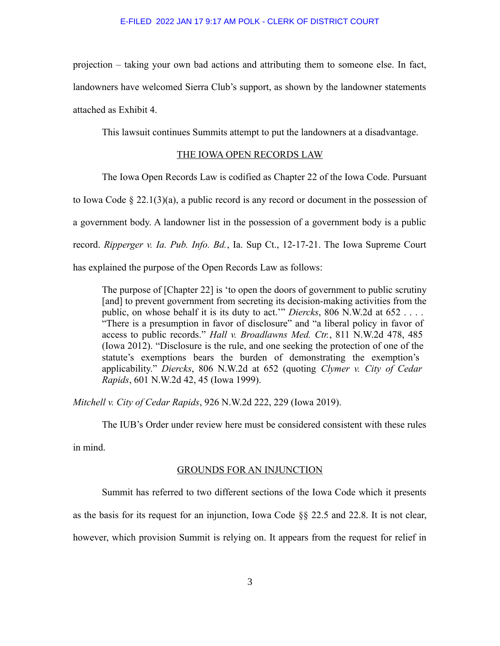projection – taking your own bad actions and attributing them to someone else. In fact, landowners have welcomed Sierra Club's support, as shown by the landowner statements attached as Exhibit 4.

This lawsuit continues Summits attempt to put the landowners at a disadvantage.

# THE IOWA OPEN RECORDS LAW

The Iowa Open Records Law is codified as Chapter 22 of the Iowa Code. Pursuant

to Iowa Code  $\S 22.1(3)(a)$ , a public record is any record or document in the possession of

a government body. A landowner list in the possession of a government body is a public

record. *Ripperger v. Ia. Pub. Info. Bd.*, Ia. Sup Ct., 12-17-21. The Iowa Supreme Court

has explained the purpose of the Open Records Law as follows:

The purpose of [Chapter 22] is 'to open the doors of government to public scrutiny [and] to prevent government from secreting its decision-making activities from the public, on whose behalf it is its duty to act.'" *Diercks*, 806 N.W.2d at 652 . . . . "There is a presumption in favor of disclosure" and "a liberal policy in favor of access to public records." *Hall v. Broadlawns Med. Ctr.*, 811 N.W.2d 478, 485 (Iowa 2012). "Disclosure is the rule, and one seeking the protection of one of the statute's exemptions bears the burden of demonstrating the exemption's applicability." *Diercks*, 806 N.W.2d at 652 (quoting *Clymer v. City of Cedar Rapids*, 601 N.W.2d 42, 45 (Iowa 1999).

*Mitchell v. City of Cedar Rapids*, 926 N.W.2d 222, 229 (Iowa 2019).

The IUB's Order under review here must be considered consistent with these rules

in mind.

#### GROUNDS FOR AN INJUNCTION

Summit has referred to two different sections of the Iowa Code which it presents

as the basis for its request for an injunction, Iowa Code §§ 22.5 and 22.8. It is not clear,

however, which provision Summit is relying on. It appears from the request for relief in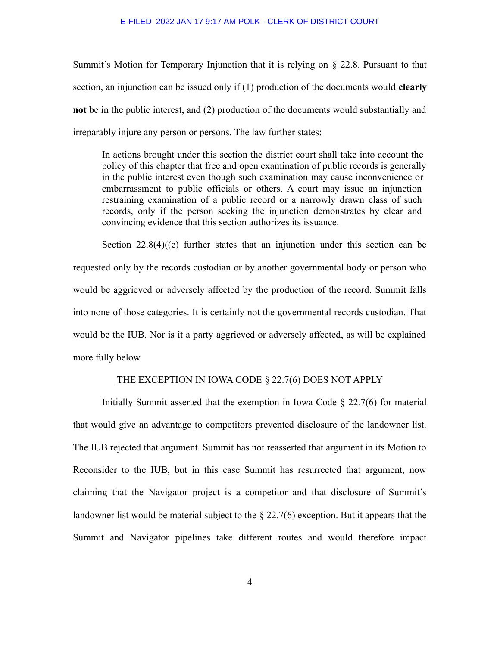Summit's Motion for Temporary Injunction that it is relying on § 22.8. Pursuant to that section, an injunction can be issued only if (1) production of the documents would **clearly not** be in the public interest, and (2) production of the documents would substantially and irreparably injure any person or persons. The law further states:

In actions brought under this section the district court shall take into account the policy of this chapter that free and open examination of public records is generally in the public interest even though such examination may cause inconvenience or embarrassment to public officials or others. A court may issue an injunction restraining examination of a public record or a narrowly drawn class of such records, only if the person seeking the injunction demonstrates by clear and convincing evidence that this section authorizes its issuance.

Section 22.8(4)((e) further states that an injunction under this section can be requested only by the records custodian or by another governmental body or person who would be aggrieved or adversely affected by the production of the record. Summit falls into none of those categories. It is certainly not the governmental records custodian. That would be the IUB. Nor is it a party aggrieved or adversely affected, as will be explained more fully below.

# THE EXCEPTION IN IOWA CODE § 22.7(6) DOES NOT APPLY

Initially Summit asserted that the exemption in Iowa Code  $\S 22.7(6)$  for material that would give an advantage to competitors prevented disclosure of the landowner list. The IUB rejected that argument. Summit has not reasserted that argument in its Motion to Reconsider to the IUB, but in this case Summit has resurrected that argument, now claiming that the Navigator project is a competitor and that disclosure of Summit's landowner list would be material subject to the § 22.7(6) exception. But it appears that the Summit and Navigator pipelines take different routes and would therefore impact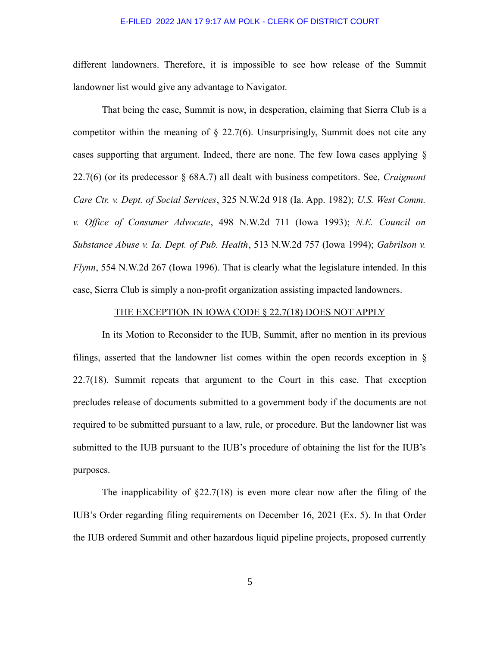different landowners. Therefore, it is impossible to see how release of the Summit landowner list would give any advantage to Navigator.

That being the case, Summit is now, in desperation, claiming that Sierra Club is a competitor within the meaning of  $\S$  22.7(6). Unsurprisingly, Summit does not cite any cases supporting that argument. Indeed, there are none. The few Iowa cases applying § 22.7(6) (or its predecessor § 68A.7) all dealt with business competitors. See, *Craigmont Care Ctr. v. Dept. of Social Services*, 325 N.W.2d 918 (Ia. App. 1982); *U.S. West Comm. v. Office of Consumer Advocate*, 498 N.W.2d 711 (Iowa 1993); *N.E. Council on Substance Abuse v. Ia. Dept. of Pub. Health*, 513 N.W.2d 757 (Iowa 1994); *Gabrilson v. Flynn*, 554 N.W.2d 267 (Iowa 1996). That is clearly what the legislature intended. In this case, Sierra Club is simply a non-profit organization assisting impacted landowners.

# THE EXCEPTION IN IOWA CODE § 22.7(18) DOES NOT APPLY

In its Motion to Reconsider to the IUB, Summit, after no mention in its previous filings, asserted that the landowner list comes within the open records exception in § 22.7(18). Summit repeats that argument to the Court in this case. That exception precludes release of documents submitted to a government body if the documents are not required to be submitted pursuant to a law, rule, or procedure. But the landowner list was submitted to the IUB pursuant to the IUB's procedure of obtaining the list for the IUB's purposes.

The inapplicability of  $\S22.7(18)$  is even more clear now after the filing of the IUB's Order regarding filing requirements on December 16, 2021 (Ex. 5). In that Order the IUB ordered Summit and other hazardous liquid pipeline projects, proposed currently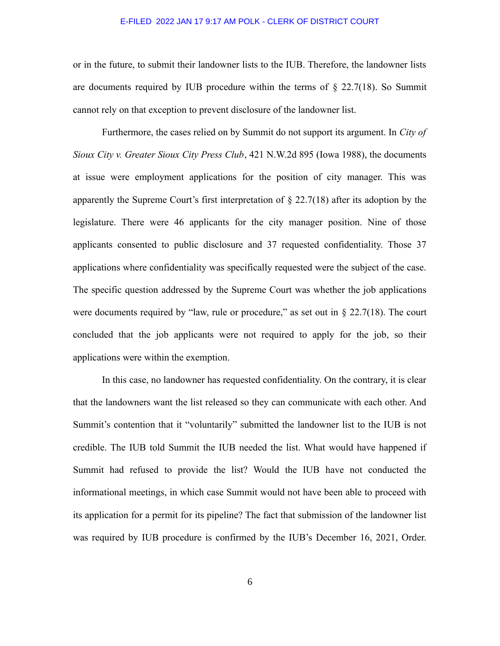or in the future, to submit their landowner lists to the IUB. Therefore, the landowner lists are documents required by IUB procedure within the terms of  $\S$  22.7(18). So Summit cannot rely on that exception to prevent disclosure of the landowner list.

Furthermore, the cases relied on by Summit do not support its argument. In *City of Sioux City v. Greater Sioux City Press Club*, 421 N.W.2d 895 (Iowa 1988), the documents at issue were employment applications for the position of city manager. This was apparently the Supreme Court's first interpretation of  $\S 22.7(18)$  after its adoption by the legislature. There were 46 applicants for the city manager position. Nine of those applicants consented to public disclosure and 37 requested confidentiality. Those 37 applications where confidentiality was specifically requested were the subject of the case. The specific question addressed by the Supreme Court was whether the job applications were documents required by "law, rule or procedure," as set out in  $\S 22.7(18)$ . The court concluded that the job applicants were not required to apply for the job, so their applications were within the exemption.

In this case, no landowner has requested confidentiality. On the contrary, it is clear that the landowners want the list released so they can communicate with each other. And Summit's contention that it "voluntarily" submitted the landowner list to the IUB is not credible. The IUB told Summit the IUB needed the list. What would have happened if Summit had refused to provide the list? Would the IUB have not conducted the informational meetings, in which case Summit would not have been able to proceed with its application for a permit for its pipeline? The fact that submission of the landowner list was required by IUB procedure is confirmed by the IUB's December 16, 2021, Order.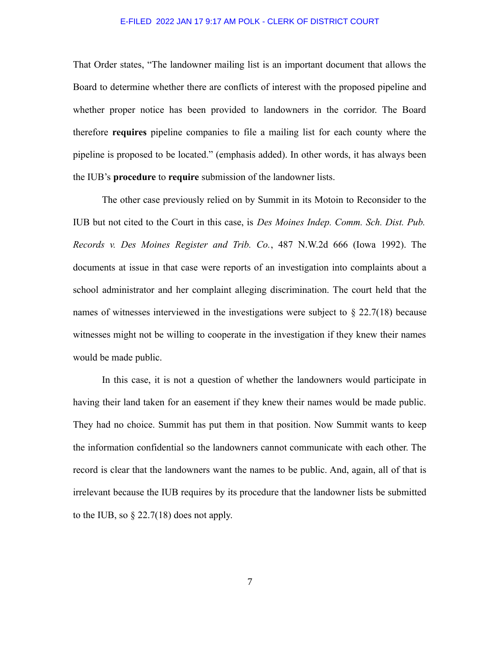That Order states, "The landowner mailing list is an important document that allows the Board to determine whether there are conflicts of interest with the proposed pipeline and whether proper notice has been provided to landowners in the corridor. The Board therefore **requires** pipeline companies to file a mailing list for each county where the pipeline is proposed to be located." (emphasis added). In other words, it has always been the IUB's **procedure** to **require** submission of the landowner lists.

The other case previously relied on by Summit in its Motoin to Reconsider to the IUB but not cited to the Court in this case, is *Des Moines Indep. Comm. Sch. Dist. Pub. Records v. Des Moines Register and Trib. Co.*, 487 N.W.2d 666 (Iowa 1992). The documents at issue in that case were reports of an investigation into complaints about a school administrator and her complaint alleging discrimination. The court held that the names of witnesses interviewed in the investigations were subject to § 22.7(18) because witnesses might not be willing to cooperate in the investigation if they knew their names would be made public.

In this case, it is not a question of whether the landowners would participate in having their land taken for an easement if they knew their names would be made public. They had no choice. Summit has put them in that position. Now Summit wants to keep the information confidential so the landowners cannot communicate with each other. The record is clear that the landowners want the names to be public. And, again, all of that is irrelevant because the IUB requires by its procedure that the landowner lists be submitted to the IUB, so  $\S 22.7(18)$  does not apply.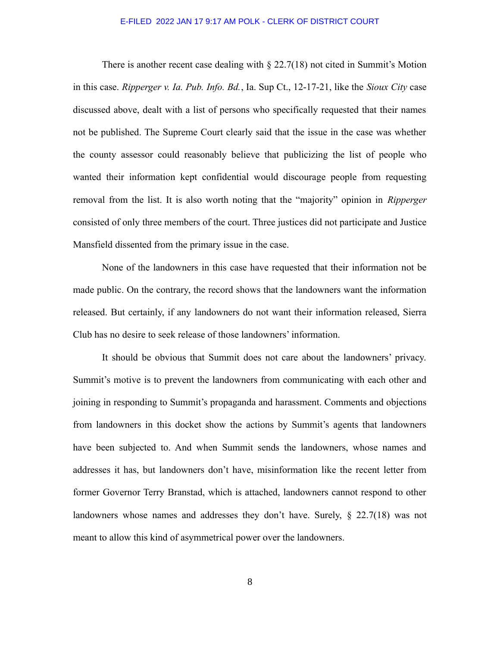There is another recent case dealing with  $\S 22.7(18)$  not cited in Summit's Motion in this case. *Ripperger v. Ia. Pub. Info. Bd.*, Ia. Sup Ct., 12-17-21, like the *Sioux City* case discussed above, dealt with a list of persons who specifically requested that their names not be published. The Supreme Court clearly said that the issue in the case was whether the county assessor could reasonably believe that publicizing the list of people who wanted their information kept confidential would discourage people from requesting removal from the list. It is also worth noting that the "majority" opinion in *Ripperger* consisted of only three members of the court. Three justices did not participate and Justice Mansfield dissented from the primary issue in the case.

None of the landowners in this case have requested that their information not be made public. On the contrary, the record shows that the landowners want the information released. But certainly, if any landowners do not want their information released, Sierra Club has no desire to seek release of those landowners' information.

It should be obvious that Summit does not care about the landowners' privacy. Summit's motive is to prevent the landowners from communicating with each other and joining in responding to Summit's propaganda and harassment. Comments and objections from landowners in this docket show the actions by Summit's agents that landowners have been subjected to. And when Summit sends the landowners, whose names and addresses it has, but landowners don't have, misinformation like the recent letter from former Governor Terry Branstad, which is attached, landowners cannot respond to other landowners whose names and addresses they don't have. Surely, § 22.7(18) was not meant to allow this kind of asymmetrical power over the landowners.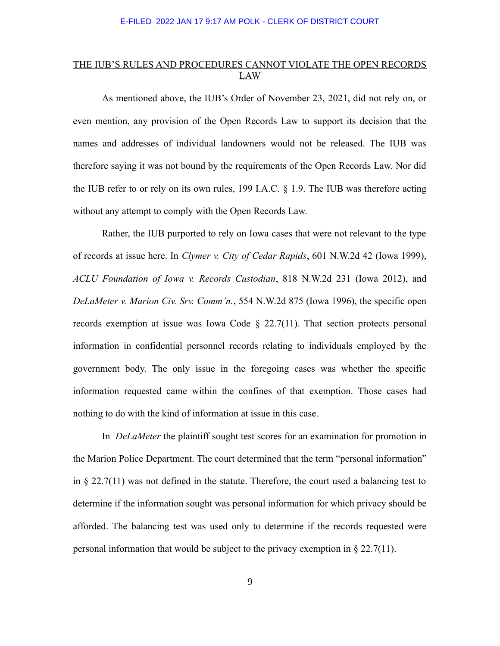# THE IUB'S RULES AND PROCEDURES CANNOT VIOLATE THE OPEN RECORDS LAW

As mentioned above, the IUB's Order of November 23, 2021, did not rely on, or even mention, any provision of the Open Records Law to support its decision that the names and addresses of individual landowners would not be released. The IUB was therefore saying it was not bound by the requirements of the Open Records Law. Nor did the IUB refer to or rely on its own rules, 199 I.A.C. § 1.9. The IUB was therefore acting without any attempt to comply with the Open Records Law.

Rather, the IUB purported to rely on Iowa cases that were not relevant to the type of records at issue here. In *Clymer v. City of Cedar Rapids*, 601 N.W.2d 42 (Iowa 1999), *ACLU Foundation of Iowa v. Records Custodian*, 818 N.W.2d 231 (Iowa 2012), and *DeLaMeter v. Marion Civ. Srv. Comm'n.*, 554 N.W.2d 875 (Iowa 1996), the specific open records exemption at issue was Iowa Code  $\S$  22.7(11). That section protects personal information in confidential personnel records relating to individuals employed by the government body. The only issue in the foregoing cases was whether the specific information requested came within the confines of that exemption. Those cases had nothing to do with the kind of information at issue in this case.

In *DeLaMeter* the plaintiff sought test scores for an examination for promotion in the Marion Police Department. The court determined that the term "personal information" in § 22.7(11) was not defined in the statute. Therefore, the court used a balancing test to determine if the information sought was personal information for which privacy should be afforded. The balancing test was used only to determine if the records requested were personal information that would be subject to the privacy exemption in § 22.7(11).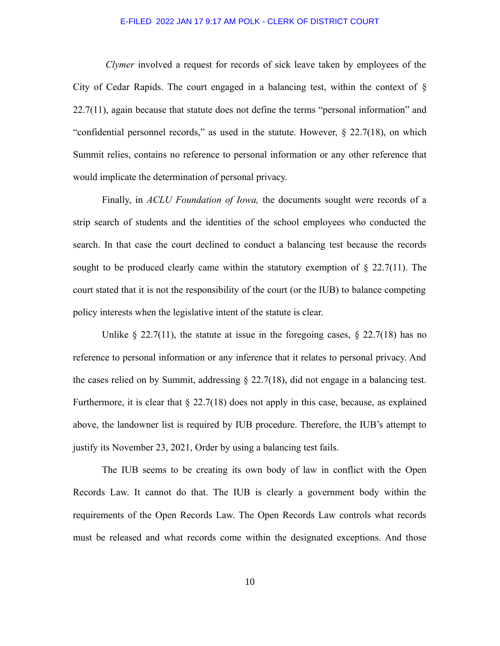*Clymer* involved a request for records of sick leave taken by employees of the City of Cedar Rapids. The court engaged in a balancing test, within the context of  $\S$ 22.7(11), again because that statute does not define the terms "personal information" and "confidential personnel records," as used in the statute. However,  $\S$  22.7(18), on which Summit relies, contains no reference to personal information or any other reference that would implicate the determination of personal privacy.

Finally, in *ACLU Foundation of Iowa,* the documents sought were records of a strip search of students and the identities of the school employees who conducted the search. In that case the court declined to conduct a balancing test because the records sought to be produced clearly came within the statutory exemption of  $\S$  22.7(11). The court stated that it is not the responsibility of the court (or the IUB) to balance competing policy interests when the legislative intent of the statute is clear.

Unlike § 22.7(11), the statute at issue in the foregoing cases, § 22.7(18) has no reference to personal information or any inference that it relates to personal privacy. And the cases relied on by Summit, addressing  $\S 22.7(18)$ , did not engage in a balancing test. Furthermore, it is clear that  $\S 22.7(18)$  does not apply in this case, because, as explained above, the landowner list is required by IUB procedure. Therefore, the IUB's attempt to justify its November 23, 2021, Order by using a balancing test fails.

The IUB seems to be creating its own body of law in conflict with the Open Records Law. It cannot do that. The IUB is clearly a government body within the requirements of the Open Records Law. The Open Records Law controls what records must be released and what records come within the designated exceptions. And those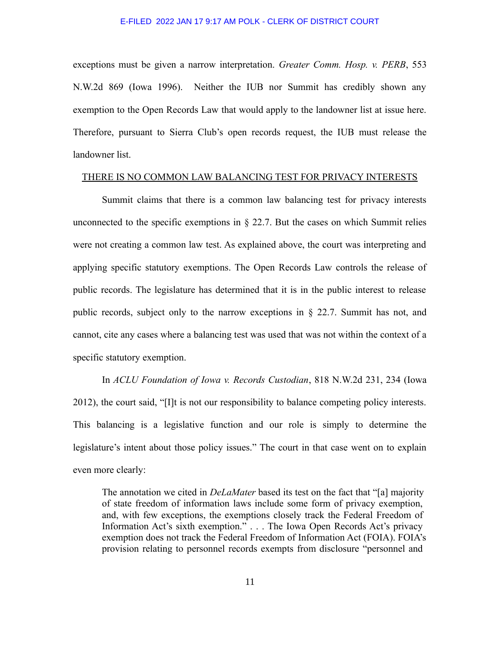exceptions must be given a narrow interpretation. *Greater Comm. Hosp. v. PERB*, 553 N.W.2d 869 (Iowa 1996). Neither the IUB nor Summit has credibly shown any exemption to the Open Records Law that would apply to the landowner list at issue here. Therefore, pursuant to Sierra Club's open records request, the IUB must release the landowner list.

### THERE IS NO COMMON LAW BALANCING TEST FOR PRIVACY INTERESTS

Summit claims that there is a common law balancing test for privacy interests unconnected to the specific exemptions in  $\S$  22.7. But the cases on which Summit relies were not creating a common law test. As explained above, the court was interpreting and applying specific statutory exemptions. The Open Records Law controls the release of public records. The legislature has determined that it is in the public interest to release public records, subject only to the narrow exceptions in § 22.7. Summit has not, and cannot, cite any cases where a balancing test was used that was not within the context of a specific statutory exemption.

In *ACLU Foundation of Iowa v. Records Custodian*, 818 N.W.2d 231, 234 (Iowa 2012), the court said, "[I]t is not our responsibility to balance competing policy interests. This balancing is a legislative function and our role is simply to determine the legislature's intent about those policy issues." The court in that case went on to explain even more clearly:

The annotation we cited in *DeLaMater* based its test on the fact that "[a] majority of state freedom of information laws include some form of privacy exemption, and, with few exceptions, the exemptions closely track the Federal Freedom of Information Act's sixth exemption." . . . The Iowa Open Records Act's privacy exemption does not track the Federal Freedom of Information Act (FOIA). FOIA's provision relating to personnel records exempts from disclosure "personnel and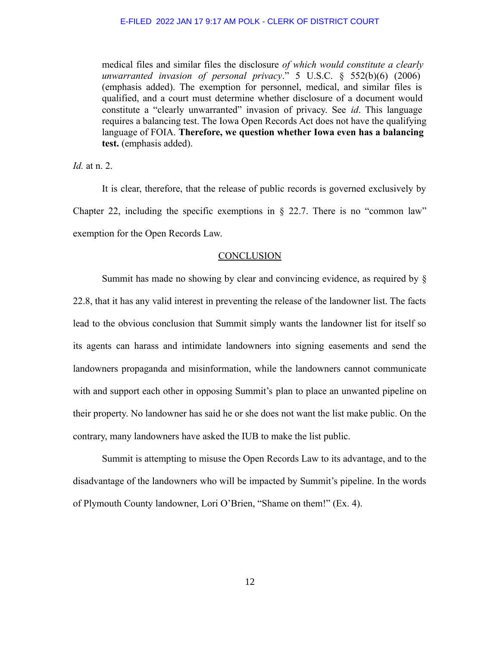medical files and similar files the disclosure *of which would constitute a clearly unwarranted invasion of personal privacy*." 5 U.S.C. § 552(b)(6) (2006) (emphasis added). The exemption for personnel, medical, and similar files is qualified, and a court must determine whether disclosure of a document would constitute a "clearly unwarranted" invasion of privacy. See *id*. This language requires a balancing test. The Iowa Open Records Act does not have the qualifying language of FOIA. **Therefore, we question whether Iowa even has a balancing test.** (emphasis added).

*Id.* at n. 2.

It is clear, therefore, that the release of public records is governed exclusively by Chapter 22, including the specific exemptions in  $\S$  22.7. There is no "common law" exemption for the Open Records Law.

### **CONCLUSION**

Summit has made no showing by clear and convincing evidence, as required by § 22.8, that it has any valid interest in preventing the release of the landowner list. The facts lead to the obvious conclusion that Summit simply wants the landowner list for itself so its agents can harass and intimidate landowners into signing easements and send the landowners propaganda and misinformation, while the landowners cannot communicate with and support each other in opposing Summit's plan to place an unwanted pipeline on their property. No landowner has said he or she does not want the list make public. On the contrary, many landowners have asked the IUB to make the list public.

Summit is attempting to misuse the Open Records Law to its advantage, and to the disadvantage of the landowners who will be impacted by Summit's pipeline. In the words of Plymouth County landowner, Lori O'Brien, "Shame on them!" (Ex. 4).